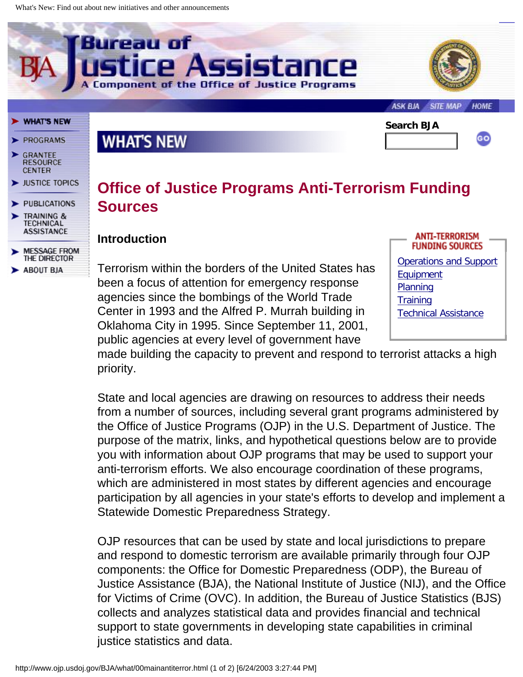

ASK BJA **SITE MAP HOME** 

#### **WHAT'S NEW**

- **PROGRAMS**
- **GRANTEE**<br>RESOURCE **CENTER**
- **JUSTICE TOPICS**
- **PUBLICATIONS**
- **TRAINING & TECHNICAL ASSISTANCE**
- **MESSAGE FROM** THE DIRECTOR **ABOUT BJA**

## **WHAT'S NEW**

lureau of



# **Office of Justice Programs Anti-Terrorism Funding Sources**

isistance

#### **Introduction**

Terrorism within the borders of the United States has been a focus of attention for emergency response agencies since the bombings of the World Trade Center in 1993 and the Alfred P. Murrah building in Oklahoma City in 1995. Since September 11, 2001, public agencies at every level of government have

of the Office of Justice Pro



made building the capacity to prevent and respond to terrorist attacks a high priority.

State and local agencies are drawing on resources to address their needs from a number of sources, including several grant programs administered by the Office of Justice Programs (OJP) in the U.S. Department of Justice. The purpose of the matrix, links, and hypothetical questions below are to provide you with information about OJP programs that may be used to support your anti-terrorism efforts. We also encourage coordination of these programs, which are administered in most states by different agencies and encourage participation by all agencies in your state's efforts to develop and implement a Statewide Domestic Preparedness Strategy.

OJP resources that can be used by state and local jurisdictions to prepare and respond to domestic terrorism are available primarily through four OJP components: the Office for Domestic Preparedness (ODP), the Bureau of Justice Assistance (BJA), the National Institute of Justice (NIJ), and the Office for Victims of Crime (OVC). In addition, the Bureau of Justice Statistics (BJS) collects and analyzes statistical data and provides financial and technical support to state governments in developing state capabilities in criminal justice statistics and data.